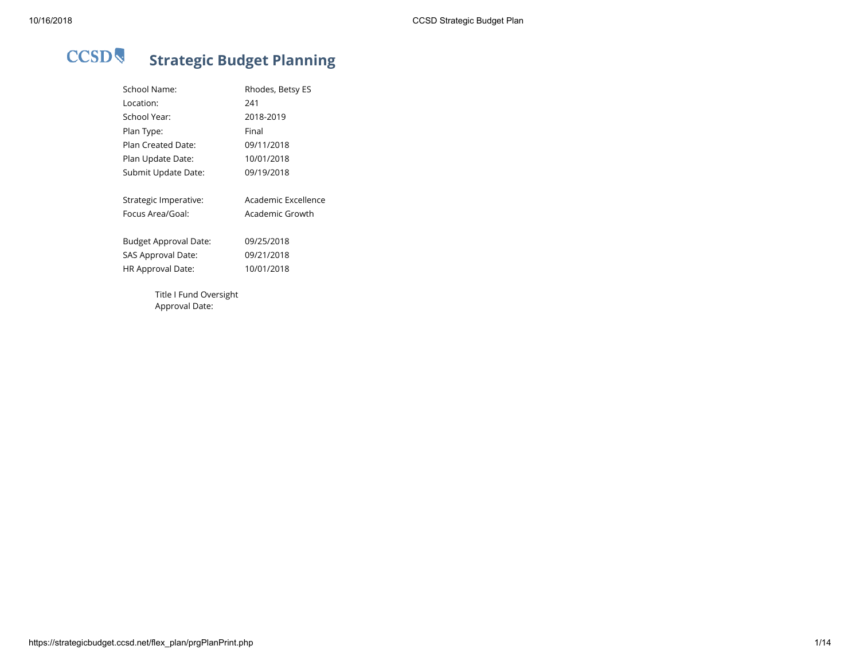# **CCSD Strategic Budget Planning**

| <b>School Name:</b>      | Rhodes, Betsy ES    |
|--------------------------|---------------------|
| Location:                | 241                 |
| School Year:             | 2018-2019           |
| Plan Type:               | Final               |
| Plan Created Date:       | 09/11/2018          |
| Plan Update Date:        | 10/01/2018          |
| Submit Update Date:      | 09/19/2018          |
| Strategic Imperative:    | Academic Excellence |
| Focus Area/Goal:         | Academic Growth     |
| Budget Approval Date:    | 09/25/2018          |
| SAS Approval Date:       | 09/21/2018          |
| <b>HR Approval Date:</b> | 10/01/2018          |
| Title I Fund Oversight   |                     |
| Approval Date:           |                     |

https://strategicbudget.ccsd.net/flex\_plan/prgPlanPrint.php 1/14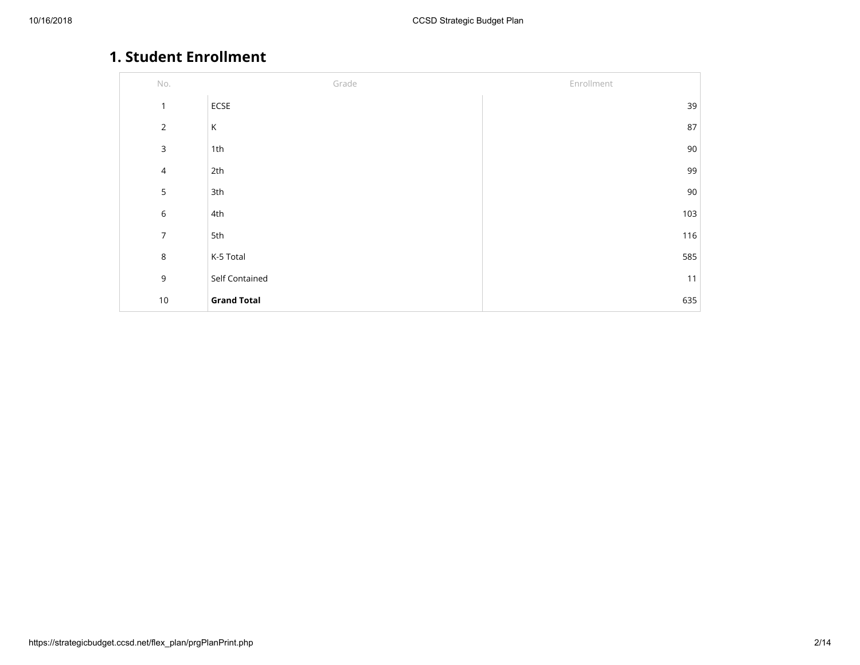# **1. Student Enrollment**

| $\mathsf{No}.$ | Grade              | Enrollment |
|----------------|--------------------|------------|
| $\mathbf{1}$   | ECSE               | 39         |
| $\overline{2}$ | К                  | 87         |
| $\mathsf 3$    | 1 <sup>th</sup>    | 90         |
| $\overline{4}$ | 2th                | 99         |
| 5              | 3th                | 90         |
| $\,$ 6 $\,$    | 4th                | 103        |
| $\overline{7}$ | 5th                | 116        |
| $\,8\,$        | K-5 Total          | 585        |
| $\mathsf 9$    | Self Contained     | 11         |
| $10$           | <b>Grand Total</b> | 635        |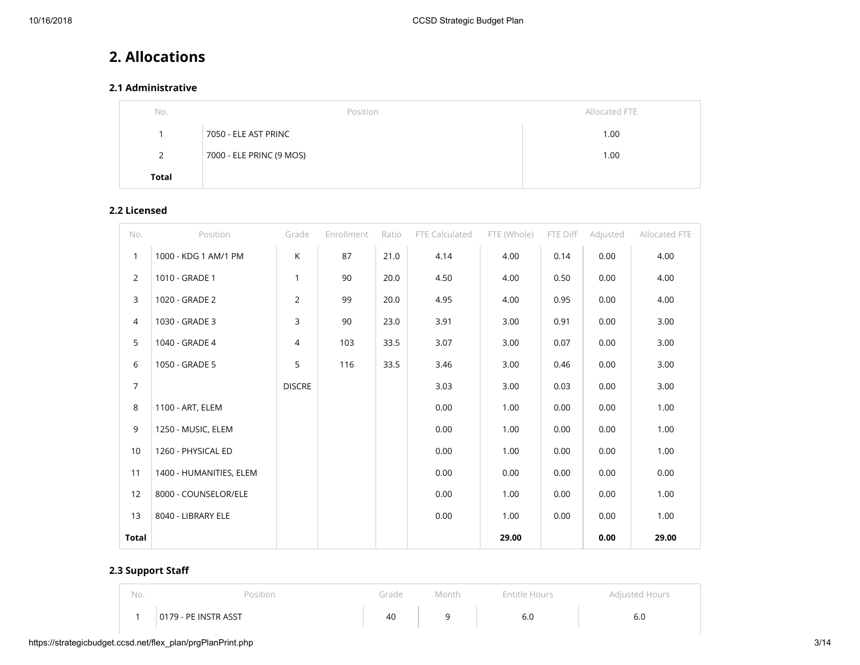# **2. Allocations**

# **2.1 Administrative**

| No.          | Position                 | Allocated FTE |
|--------------|--------------------------|---------------|
|              | 7050 - ELE AST PRINC     | 1.00          |
| 2            | 7000 - ELE PRINC (9 MOS) | 1.00          |
| <b>Total</b> |                          |               |

# **2.2 Licensed**

| No.            | Position                | Grade          | Enrollment | Ratio | FTE Calculated | FTE (Whole) | FTE Diff | Adjusted | Allocated FTE |
|----------------|-------------------------|----------------|------------|-------|----------------|-------------|----------|----------|---------------|
| $\mathbf{1}$   | 1000 - KDG 1 AM/1 PM    | K              | 87         | 21.0  | 4.14           | 4.00        | 0.14     | 0.00     | 4.00          |
| $\overline{2}$ | 1010 - GRADE 1          | 1              | 90         | 20.0  | 4.50           | 4.00        | 0.50     | 0.00     | 4.00          |
| 3              | 1020 - GRADE 2          | 2              | 99         | 20.0  | 4.95           | 4.00        | 0.95     | 0.00     | 4.00          |
| 4              | 1030 - GRADE 3          | 3              | 90         | 23.0  | 3.91           | 3.00        | 0.91     | 0.00     | 3.00          |
| 5              | 1040 - GRADE 4          | $\overline{4}$ | 103        | 33.5  | 3.07           | 3.00        | 0.07     | 0.00     | 3.00          |
| 6              | 1050 - GRADE 5          | 5              | 116        | 33.5  | 3.46           | 3.00        | 0.46     | 0.00     | 3.00          |
| $\overline{7}$ |                         | <b>DISCRE</b>  |            |       | 3.03           | 3.00        | 0.03     | 0.00     | 3.00          |
| 8              | 1100 - ART, ELEM        |                |            |       | 0.00           | 1.00        | 0.00     | 0.00     | 1.00          |
| 9              | 1250 - MUSIC, ELEM      |                |            |       | 0.00           | 1.00        | 0.00     | 0.00     | 1.00          |
| 10             | 1260 - PHYSICAL ED      |                |            |       | 0.00           | 1.00        | 0.00     | 0.00     | 1.00          |
| 11             | 1400 - HUMANITIES, ELEM |                |            |       | 0.00           | 0.00        | 0.00     | 0.00     | 0.00          |
| 12             | 8000 - COUNSELOR/ELE    |                |            |       | 0.00           | 1.00        | 0.00     | 0.00     | 1.00          |
| 13             | 8040 - LIBRARY ELE      |                |            |       | 0.00           | 1.00        | 0.00     | 0.00     | 1.00          |
| Total          |                         |                |            |       |                | 29.00       |          | 0.00     | 29.00         |

# **2.3 Support Sta**

| No. | Position             | Grade | Month | Entitle Hours | Adjusted Hours |
|-----|----------------------|-------|-------|---------------|----------------|
|     | 0179 - PE INSTR ASST | 40    |       | 6.0           | 6.U            |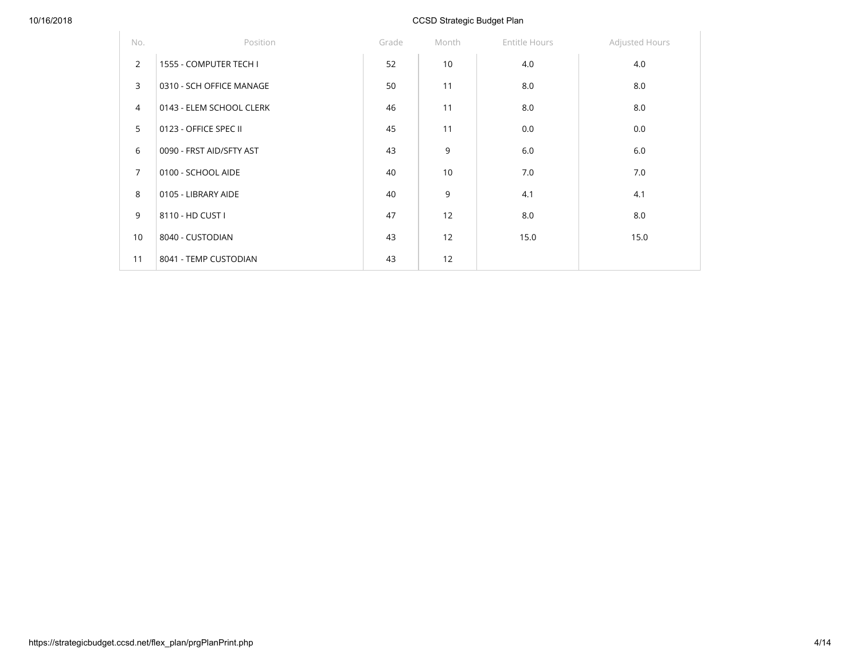| No.            | Position                 | Grade | Month | Entitle Hours | Adjusted Hours |
|----------------|--------------------------|-------|-------|---------------|----------------|
| $\overline{2}$ | 1555 - COMPUTER TECH I   | 52    | 10    | 4.0           | 4.0            |
| $\overline{3}$ | 0310 - SCH OFFICE MANAGE | 50    | 11    | 8.0           | 8.0            |
| $\overline{4}$ | 0143 - ELEM SCHOOL CLERK | 46    | 11    | 8.0           | 8.0            |
| 5              | 0123 - OFFICE SPEC II    | 45    | 11    | 0.0           | 0.0            |
| 6              | 0090 - FRST AID/SFTY AST | 43    | 9     | 6.0           | 6.0            |
| $\overline{7}$ | 0100 - SCHOOL AIDE       | 40    | 10    | 7.0           | 7.0            |
| 8              | 0105 - LIBRARY AIDE      | 40    | 9     | 4.1           | 4.1            |
| 9              | 8110 - HD CUST I         | 47    | 12    | 8.0           | 8.0            |
| 10             | 8040 - CUSTODIAN         | 43    | 12    | 15.0          | 15.0           |
| 11             | 8041 - TEMP CUSTODIAN    | 43    | 12    |               |                |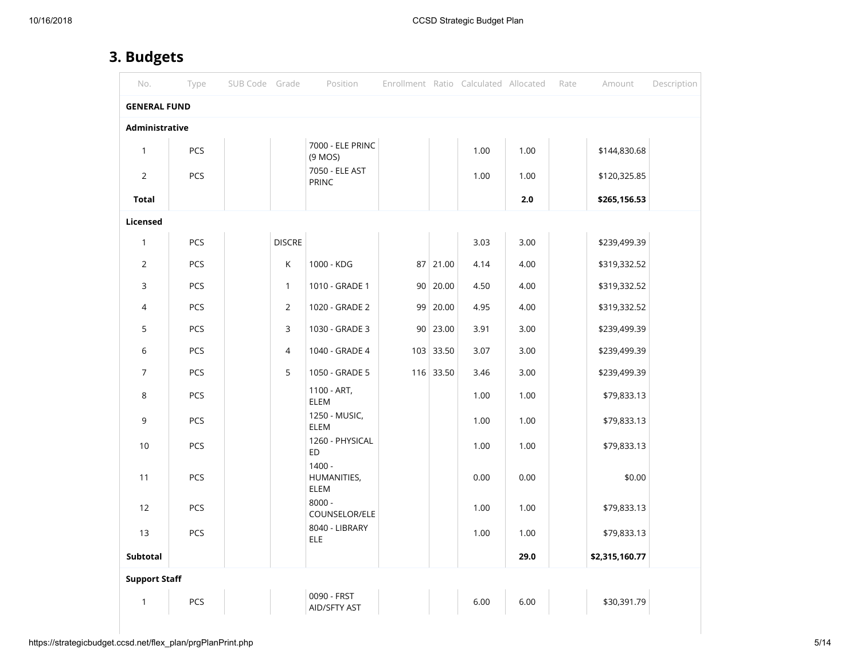# **3. Budgets**

| No.                  | Type       | SUB Code Grade |               | Position                        |             | Enrollment Ratio Calculated Allocated |      | Rate | Amount         | Description |
|----------------------|------------|----------------|---------------|---------------------------------|-------------|---------------------------------------|------|------|----------------|-------------|
| <b>GENERAL FUND</b>  |            |                |               |                                 |             |                                       |      |      |                |             |
| Administrative       |            |                |               |                                 |             |                                       |      |      |                |             |
| $\mathbf{1}$         | PCS        |                |               | 7000 - ELE PRINC<br>$(9$ MOS)   |             | 1.00                                  | 1.00 |      | \$144,830.68   |             |
| $\overline{2}$       | PCS        |                |               | 7050 - ELE AST<br>PRINC         |             | 1.00                                  | 1.00 |      | \$120,325.85   |             |
| <b>Total</b>         |            |                |               |                                 |             |                                       | 2.0  |      | \$265,156.53   |             |
| Licensed             |            |                |               |                                 |             |                                       |      |      |                |             |
| 1                    | PCS        |                | <b>DISCRE</b> |                                 |             | 3.03                                  | 3.00 |      | \$239,499.39   |             |
| $\overline{2}$       | PCS        |                | $\mathsf K$   | 1000 - KDG                      | 87 21.00    | 4.14                                  | 4.00 |      | \$319,332.52   |             |
| 3                    | PCS        |                | $\mathbf{1}$  | 1010 - GRADE 1                  | 90   20.00  | 4.50                                  | 4.00 |      | \$319,332.52   |             |
| 4                    | <b>PCS</b> |                | 2             | 1020 - GRADE 2                  | 99 20.00    | 4.95                                  | 4.00 |      | \$319,332.52   |             |
| 5                    | <b>PCS</b> |                | 3             | 1030 - GRADE 3                  | 90   23.00  | 3.91                                  | 3.00 |      | \$239,499.39   |             |
| 6                    | <b>PCS</b> |                | 4             | 1040 - GRADE 4                  | $103$ 33.50 | 3.07                                  | 3.00 |      | \$239,499.39   |             |
| 7                    | PCS        |                | 5             | 1050 - GRADE 5                  | 116 33.50   | 3.46                                  | 3.00 |      | \$239,499.39   |             |
| 8                    | <b>PCS</b> |                |               | 1100 - ART,<br><b>ELEM</b>      |             | 1.00                                  | 1.00 |      | \$79,833.13    |             |
| 9                    | <b>PCS</b> |                |               | 1250 - MUSIC,<br><b>ELEM</b>    |             | 1.00                                  | 1.00 |      | \$79,833.13    |             |
| 10                   | PCS        |                |               | 1260 - PHYSICAL<br>ED           |             | 1.00                                  | 1.00 |      | \$79,833.13    |             |
| 11                   | <b>PCS</b> |                |               | $1400 -$<br>HUMANITIES,<br>ELEM |             | 0.00                                  | 0.00 |      | \$0.00         |             |
| 12                   | PCS        |                |               | $8000 -$<br>COUNSELOR/ELE       |             | 1.00                                  | 1.00 |      | \$79,833.13    |             |
| 13                   | PCS        |                |               | 8040 - LIBRARY<br><b>ELE</b>    |             | 1.00                                  | 1.00 |      | \$79,833.13    |             |
| Subtotal             |            |                |               |                                 |             |                                       | 29.0 |      | \$2,315,160.77 |             |
| <b>Support Staff</b> |            |                |               |                                 |             |                                       |      |      |                |             |
| $\mathbf{1}$         | PCS        |                |               | 0090 - FRST<br>AID/SFTY AST     |             | 6.00                                  | 6.00 |      | \$30,391.79    |             |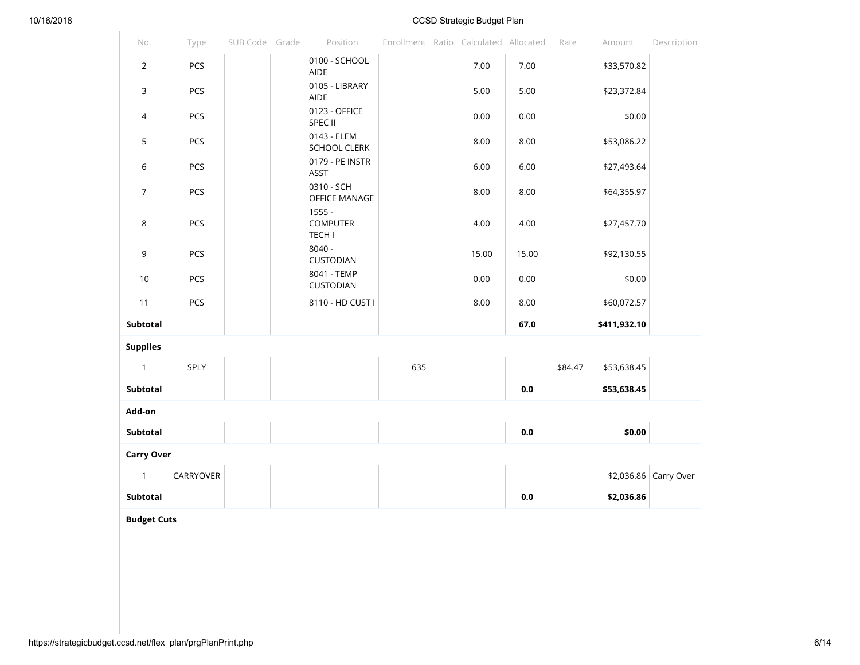$\sim$ 

## 10/16/2018 CCSD Strategic Budget Plan

| No.               | Type      | SUB Code Grade | Position                                     |     | Enrollment Ratio Calculated Allocated |         | Rate    | Amount       | Description           |
|-------------------|-----------|----------------|----------------------------------------------|-----|---------------------------------------|---------|---------|--------------|-----------------------|
| $\overline{2}$    | PCS       |                | 0100 - SCHOOL<br><b>AIDE</b>                 |     | 7.00                                  | 7.00    |         | \$33,570.82  |                       |
| 3                 | PCS       |                | 0105 - LIBRARY<br><b>AIDE</b>                |     | 5.00                                  | 5.00    |         | \$23,372.84  |                       |
| $\overline{4}$    | PCS       |                | 0123 - OFFICE<br>SPEC II                     |     | 0.00                                  | 0.00    |         | \$0.00       |                       |
| 5                 | PCS       |                | 0143 - ELEM<br>SCHOOL CLERK                  |     | 8.00                                  | 8.00    |         | \$53,086.22  |                       |
| 6                 | PCS       |                | 0179 - PE INSTR<br><b>ASST</b>               |     | 6.00                                  | 6.00    |         | \$27,493.64  |                       |
| $\overline{7}$    | PCS       |                | 0310 - SCH<br><b>OFFICE MANAGE</b>           |     | 8.00                                  | 8.00    |         | \$64,355.97  |                       |
| 8                 | PCS       |                | $1555 -$<br><b>COMPUTER</b><br><b>TECH I</b> |     | 4.00                                  | 4.00    |         | \$27,457.70  |                       |
| 9                 | PCS       |                | $8040 -$<br>CUSTODIAN                        |     | 15.00                                 | 15.00   |         | \$92,130.55  |                       |
| 10                | PCS       |                | 8041 - TEMP<br>CUSTODIAN                     |     | 0.00                                  | 0.00    |         | \$0.00       |                       |
| 11                | PCS       |                | 8110 - HD CUST I                             |     | 8.00                                  | 8.00    |         | \$60,072.57  |                       |
| Subtotal          |           |                |                                              |     |                                       | 67.0    |         | \$411,932.10 |                       |
| <b>Supplies</b>   |           |                |                                              |     |                                       |         |         |              |                       |
| $\mathbf{1}$      | SPLY      |                |                                              | 635 |                                       |         | \$84.47 | \$53,638.45  |                       |
| Subtotal          |           |                |                                              |     |                                       | 0.0     |         | \$53,638.45  |                       |
| Add-on            |           |                |                                              |     |                                       |         |         |              |                       |
| Subtotal          |           |                |                                              |     |                                       | $0.0\,$ |         | \$0.00       |                       |
| <b>Carry Over</b> |           |                |                                              |     |                                       |         |         |              |                       |
| $\mathbf{1}$      | CARRYOVER |                |                                              |     |                                       |         |         |              | \$2,036.86 Carry Over |
| Subtotal          |           |                |                                              |     |                                       | 0.0     |         | \$2,036.86   |                       |

**Budget Cuts**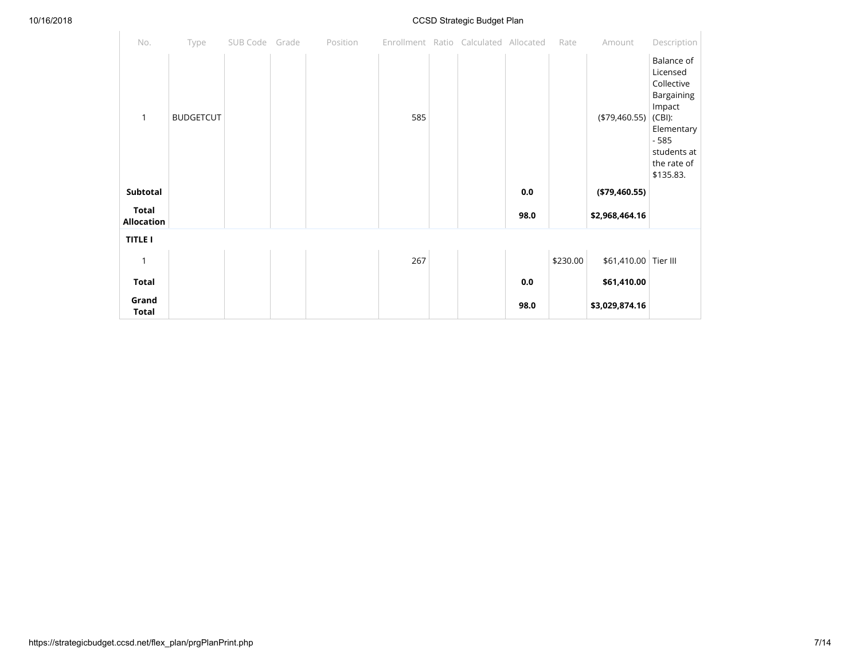$\sim$ 

## 10/16/2018 CCSD Strategic Budget Plan

| No.                               | Type             | SUB Code Grade | Position |     | Enrollment Ratio Calculated Allocated |         | Rate     | Amount               | Description                                                                                                                                  |
|-----------------------------------|------------------|----------------|----------|-----|---------------------------------------|---------|----------|----------------------|----------------------------------------------------------------------------------------------------------------------------------------------|
| $\mathbf{1}$                      | <b>BUDGETCUT</b> |                |          | 585 |                                       |         |          | (\$79,460.55)        | Balance of<br>Licensed<br>Collective<br>Bargaining<br>Impact<br>$(CBI)$ :<br>Elementary<br>$-585$<br>students at<br>the rate of<br>\$135.83. |
| Subtotal                          |                  |                |          |     |                                       | $0.0\,$ |          | ( \$79,460.55)       |                                                                                                                                              |
| <b>Total</b><br><b>Allocation</b> |                  |                |          |     |                                       | 98.0    |          | \$2,968,464.16       |                                                                                                                                              |
| <b>TITLE I</b>                    |                  |                |          |     |                                       |         |          |                      |                                                                                                                                              |
| 1                                 |                  |                |          | 267 |                                       |         | \$230.00 | \$61,410.00 Tier III |                                                                                                                                              |
| <b>Total</b>                      |                  |                |          |     |                                       | $0.0\,$ |          | \$61,410.00          |                                                                                                                                              |
| Grand<br><b>Total</b>             |                  |                |          |     |                                       | 98.0    |          | \$3,029,874.16       |                                                                                                                                              |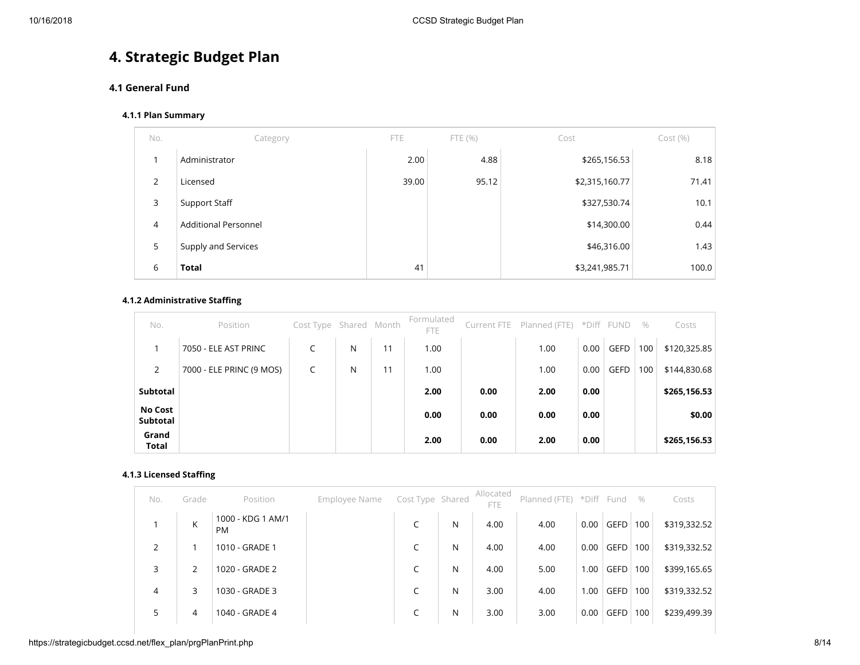# **4. Strategic Budget Plan**

# **4.1 General Fund**

#### **4.1.1 Plan Summary**

| No.                     | Category                    | <b>FTE</b> | FTE(%) | Cost           | Cost(%) |
|-------------------------|-----------------------------|------------|--------|----------------|---------|
| $\overline{\mathbf{A}}$ | Administrator               | 2.00       | 4.88   | \$265,156.53   | 8.18    |
| 2                       | Licensed                    | 39.00      | 95.12  | \$2,315,160.77 | 71.41   |
| 3                       | Support Staff               |            |        | \$327,530.74   | 10.1    |
| $\overline{4}$          | <b>Additional Personnel</b> |            |        | \$14,300.00    | 0.44    |
| 5                       | Supply and Services         |            |        | \$46,316.00    | 1.43    |
| 6                       | <b>Total</b>                | 41         |        | \$3,241,985.71 | 100.0   |

## **4.1.2 Administrative Staffing**

| No.                        | Position                 | Cost Type Shared Month |   |    | Formulated<br><b>FTE</b> |      | Current FTE Planned (FTE) *Diff FUND |      |             | $\%$ | Costs        |
|----------------------------|--------------------------|------------------------|---|----|--------------------------|------|--------------------------------------|------|-------------|------|--------------|
|                            | 7050 - ELE AST PRINC     | $\sqrt{2}$             | N | 11 | 1.00                     |      | 1.00                                 | 0.00 | <b>GEFD</b> | 100  | \$120,325.85 |
| 2                          | 7000 - ELE PRINC (9 MOS) |                        | N | 11 | 1.00                     |      | 1.00                                 | 0.00 | <b>GEFD</b> | 100  | \$144,830.68 |
| Subtotal                   |                          |                        |   |    | 2.00                     | 0.00 | 2.00                                 | 0.00 |             |      | \$265,156.53 |
| <b>No Cost</b><br>Subtotal |                          |                        |   |    | 0.00                     | 0.00 | 0.00                                 | 0.00 |             |      | \$0.00       |
| Grand<br><b>Total</b>      |                          |                        |   |    | 2.00                     | 0.00 | 2.00                                 | 0.00 |             |      | \$265,156.53 |

## **4.1.3 Licensed Staffing**

| No.            | Grade          | Position                       | Employee Name | Cost Type Shared |   | Allocated<br><b>FTE</b> | Planned (FTE) *Diff Fund |      |             | $\%$ | Costs        |
|----------------|----------------|--------------------------------|---------------|------------------|---|-------------------------|--------------------------|------|-------------|------|--------------|
|                | K              | 1000 - KDG 1 AM/1<br><b>PM</b> |               |                  | N | 4.00                    | 4.00                     | 0.00 | <b>GEFD</b> | 100  | \$319,332.52 |
| $\overline{2}$ |                | 1010 - GRADE 1                 |               | r                | N | 4.00                    | 4.00                     | 0.00 | <b>GEFD</b> | 100  | \$319,332.52 |
| 3              | $\overline{2}$ | 1020 - GRADE 2                 |               | C                | N | 4.00                    | 5.00                     | 1.00 | <b>GEFD</b> | 100  | \$399,165.65 |
| 4              | 3              | 1030 - GRADE 3                 |               | C                | N | 3.00                    | 4.00                     | 1.00 | <b>GEFD</b> | 100  | \$319,332.52 |
| 5              | 4              | 1040 - GRADE 4                 |               |                  | N | 3.00                    | 3.00                     | 0.00 | <b>GEFD</b> | 100  | \$239,499.39 |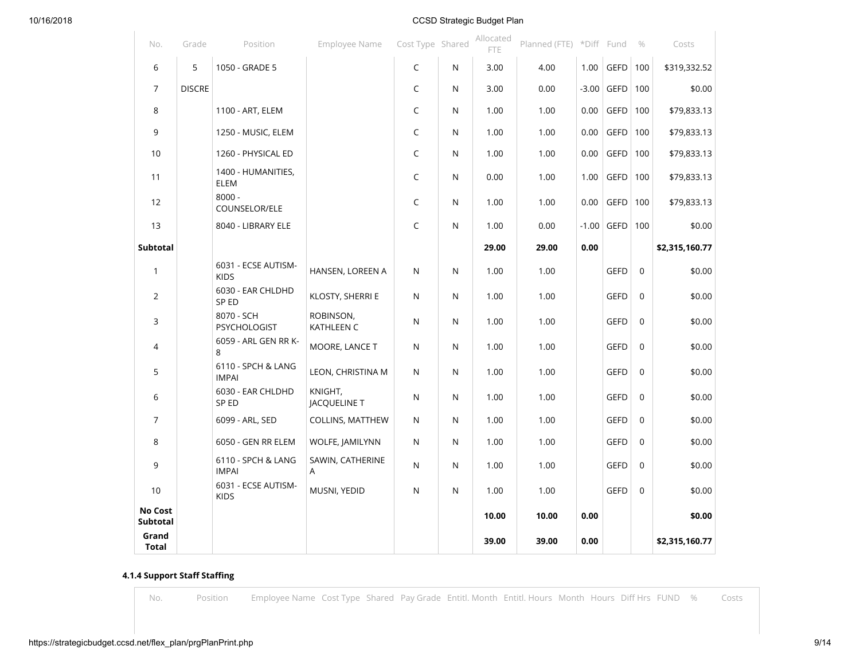| No.                   | Grade         | Position                              | Employee Name           | Cost Type Shared |   | Allocated<br><b>FTE</b> | Planned (FTE) *Diff Fund |         |             | $\%$        | Costs          |
|-----------------------|---------------|---------------------------------------|-------------------------|------------------|---|-------------------------|--------------------------|---------|-------------|-------------|----------------|
| 6                     | 5             | 1050 - GRADE 5                        |                         | C                | N | 3.00                    | 4.00                     | 1.00    | GEFD $ 100$ |             | \$319,332.52   |
| $\overline{7}$        | <b>DISCRE</b> |                                       |                         | $\mathsf C$      | N | 3.00                    | 0.00                     | $-3.00$ | GEFD        | 100         | \$0.00         |
| 8                     |               | 1100 - ART, ELEM                      |                         | C                | N | 1.00                    | 1.00                     | 0.00    | GEFD        | 100         | \$79,833.13    |
| 9                     |               | 1250 - MUSIC, ELEM                    |                         | C                | N | 1.00                    | 1.00                     | 0.00    | GEFD        | 100         | \$79,833.13    |
| 10                    |               | 1260 - PHYSICAL ED                    |                         | C                | N | 1.00                    | 1.00                     | 0.00    | <b>GEFD</b> | 100         | \$79,833.13    |
| 11                    |               | 1400 - HUMANITIES,<br>ELEM            |                         | C                | N | 0.00                    | 1.00                     | 1.00    | GEFD        | 100         | \$79,833.13    |
| 12                    |               | $8000 -$<br>COUNSELOR/ELE             |                         | C                | N | 1.00                    | 1.00                     | 0.00    | <b>GEFD</b> | 100         | \$79,833.13    |
| 13                    |               | 8040 - LIBRARY ELE                    |                         | C                | N | 1.00                    | 0.00                     | $-1.00$ | GEFD $100$  |             | \$0.00         |
| Subtotal              |               |                                       |                         |                  |   | 29.00                   | 29.00                    | 0.00    |             |             | \$2,315,160.77 |
| $\mathbf{1}$          |               | 6031 - ECSE AUTISM-<br><b>KIDS</b>    | HANSEN, LOREEN A        | N                | N | 1.00                    | 1.00                     |         | <b>GEFD</b> | $\Omega$    | \$0.00         |
| $\overline{2}$        |               | 6030 - EAR CHLDHD<br>SP <sub>ED</sub> | KLOSTY, SHERRI E        | N                | N | 1.00                    | 1.00                     |         | <b>GEFD</b> | $\Omega$    | \$0.00         |
| 3                     |               | 8070 - SCH<br>PSYCHOLOGIST            | ROBINSON,<br>KATHLEEN C | N                | N | 1.00                    | 1.00                     |         | <b>GEFD</b> | $\Omega$    | \$0.00         |
| 4                     |               | 6059 - ARL GEN RR K-<br>8             | MOORE, LANCE T          | N                | N | 1.00                    | 1.00                     |         | <b>GEFD</b> | $\mathbf 0$ | \$0.00         |
| 5                     |               | 6110 - SPCH & LANG<br><b>IMPAI</b>    | LEON, CHRISTINA M       | N                | N | 1.00                    | 1.00                     |         | <b>GEFD</b> | $\mathbf 0$ | \$0.00         |
| 6                     |               | 6030 - EAR CHLDHD<br>SP ED            | KNIGHT,<br>JACQUELINE T | N                | N | 1.00                    | 1.00                     |         | <b>GEFD</b> | $\mathbf 0$ | \$0.00         |
| $\overline{7}$        |               | 6099 - ARL, SED                       | <b>COLLINS, MATTHEW</b> | N                | N | 1.00                    | 1.00                     |         | <b>GEFD</b> | $\mathbf 0$ | \$0.00         |
| 8                     |               | 6050 - GEN RR ELEM                    | WOLFE, JAMILYNN         | N                | N | 1.00                    | 1.00                     |         | <b>GEFD</b> | $\mathbf 0$ | \$0.00         |
| 9                     |               | 6110 - SPCH & LANG<br><b>IMPAI</b>    | SAWIN, CATHERINE<br>A   | N                | N | 1.00                    | 1.00                     |         | <b>GEFD</b> | $\mathbf 0$ | \$0.00         |
| 10                    |               | 6031 - ECSE AUTISM-<br><b>KIDS</b>    | MUSNI, YEDID            | N                | N | 1.00                    | 1.00                     |         | <b>GEFD</b> | $\mathbf 0$ | \$0.00         |
| No Cost<br>Subtotal   |               |                                       |                         |                  |   | 10.00                   | 10.00                    | 0.00    |             |             | \$0.00         |
| Grand<br><b>Total</b> |               |                                       |                         |                  |   | 39.00                   | 39.00                    | 0.00    |             |             | \$2,315,160.77 |

# **4.1.4 Support Staff Staffing**

No. Position Employee Name Cost Type Shared Pay Grade Entitl. Month Entitl. Hours Month Hours Diff Hrs FUND % Costs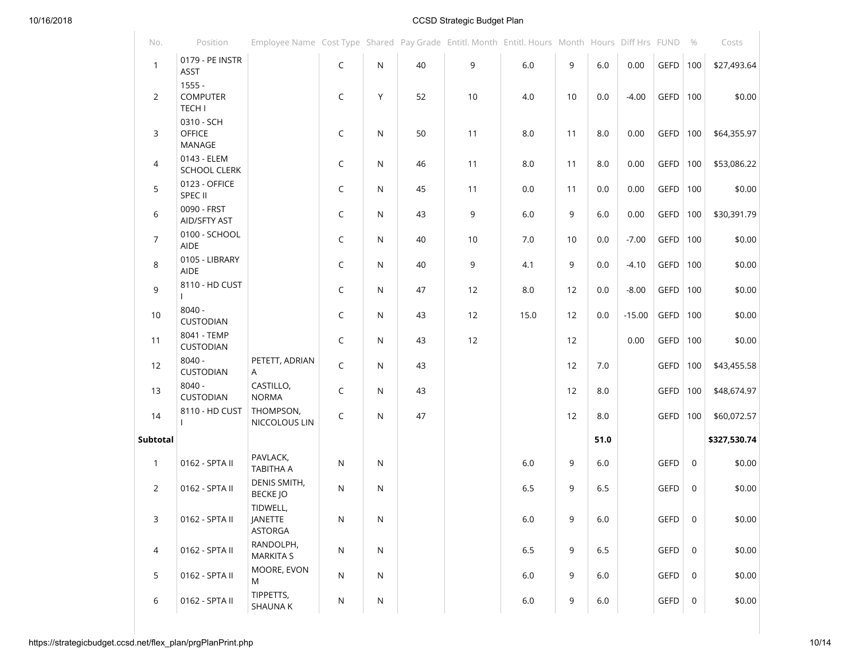| No.            | Position                                     | Employee Name Cost Type Shared Pay Grade Entitl. Month Entitl. Hours Month Hours Diff Hrs FUND |              |   |    |    |         |    |      |          |            | $\%$ | Costs        |
|----------------|----------------------------------------------|------------------------------------------------------------------------------------------------|--------------|---|----|----|---------|----|------|----------|------------|------|--------------|
| $\mathbf{1}$   | 0179 - PE INSTR<br>ASST                      |                                                                                                | $\mathsf C$  | N | 40 | 9  | $6.0\,$ | 9  | 6.0  | 0.00     | GEFD       | 100  | \$27,493.64  |
| 2              | $1555 -$<br><b>COMPUTER</b><br><b>TECH I</b> |                                                                                                | C            | Y | 52 | 10 | 4.0     | 10 | 0.0  | $-4.00$  | GEFD $100$ |      | \$0.00       |
| 3              | 0310 - SCH<br><b>OFFICE</b><br>MANAGE        |                                                                                                | C            | N | 50 | 11 | $8.0\,$ | 11 | 8.0  | 0.00     | $GEFD$ 100 |      | \$64,355.97  |
| 4              | 0143 - ELEM<br><b>SCHOOL CLERK</b>           |                                                                                                | C            | N | 46 | 11 | 8.0     | 11 | 8.0  | 0.00     | GEFD       | 100  | \$53,086.22  |
| 5              | 0123 - OFFICE<br>SPEC II                     |                                                                                                | $\mathsf C$  | N | 45 | 11 | 0.0     | 11 | 0.0  | 0.00     | GEFD       | 100  | \$0.00       |
| 6              | 0090 - FRST<br>AID/SFTY AST                  |                                                                                                | $\mathsf C$  | N | 43 | 9  | $6.0\,$ | 9  | 6.0  | 0.00     | GEFD       | 100  | \$30,391.79  |
| $\overline{7}$ | 0100 - SCHOOL<br>AIDE                        |                                                                                                | C            | N | 40 | 10 | 7.0     | 10 | 0.0  | $-7.00$  | GEFD $100$ |      | \$0.00       |
| 8              | 0105 - LIBRARY<br>AIDE                       |                                                                                                | $\mathsf{C}$ | N | 40 | 9  | 4.1     | 9  | 0.0  | $-4.10$  | GEFD       | 100  | \$0.00       |
| 9              | 8110 - HD CUST                               |                                                                                                | $\mathsf C$  | N | 47 | 12 | 8.0     | 12 | 0.0  | $-8.00$  | GEFD       | 100  | \$0.00       |
| 10             | $8040 -$<br>CUSTODIAN                        |                                                                                                | $\mathsf C$  | N | 43 | 12 | 15.0    | 12 | 0.0  | $-15.00$ | $GEFD$ 100 |      | \$0.00       |
| 11             | 8041 - TEMP<br>CUSTODIAN                     |                                                                                                | C            | N | 43 | 12 |         | 12 |      | 0.00     | GEFD       | 100  | \$0.00       |
| 12             | $8040 -$<br>CUSTODIAN                        | PETETT, ADRIAN<br>A                                                                            | C            | N | 43 |    |         | 12 | 7.0  |          | GEFD       | 100  | \$43,455.58  |
| 13             | $8040 -$<br>CUSTODIAN                        | CASTILLO,<br><b>NORMA</b>                                                                      | C            | N | 43 |    |         | 12 | 8.0  |          | GEFD       | 100  | \$48,674.97  |
| 14             | 8110 - HD CUST                               | THOMPSON,<br>NICCOLOUS LIN                                                                     | C            | N | 47 |    |         | 12 | 8.0  |          | $GEFD$ 100 |      | \$60,072.57  |
| Subtotal       |                                              |                                                                                                |              |   |    |    |         |    | 51.0 |          |            |      | \$327,530.74 |
| $\mathbf{1}$   | 0162 - SPTA II                               | PAVLACK,<br>TABITHA A                                                                          | N            | N |    |    | $6.0\,$ | 9  | 6.0  |          | GEFD       | 0    | \$0.00       |
| $\overline{2}$ | 0162 - SPTA II                               | DENIS SMITH,<br><b>BECKE JO</b>                                                                | N            | N |    |    | $6.5\,$ | 9  | 6.5  |          | GEFD       | 0    | \$0.00       |
| 3              | 0162 - SPTA II                               | TIDWELL,<br><b>JANETTE</b><br><b>ASTORGA</b>                                                   | N            | N |    |    | 6.0     | 9  | 6.0  |          | GEFD       | 0    | \$0.00       |
| 4              | 0162 - SPTA II                               | RANDOLPH,<br><b>MARKITA S</b>                                                                  | N            | N |    |    | $6.5\,$ | 9  | 6.5  |          | GEFD       | 0    | \$0.00       |
| 5              | 0162 - SPTA II                               | MOORE, EVON<br>M                                                                               | N            | N |    |    | 6.0     | 9  | 6.0  |          | GEFD       | 0    | \$0.00       |
| 6              | 0162 - SPTA II                               | TIPPETTS,<br>SHAUNA K                                                                          | N            | N |    |    | $6.0\,$ | 9  | 6.0  |          | GEFD       | 0    | \$0.00       |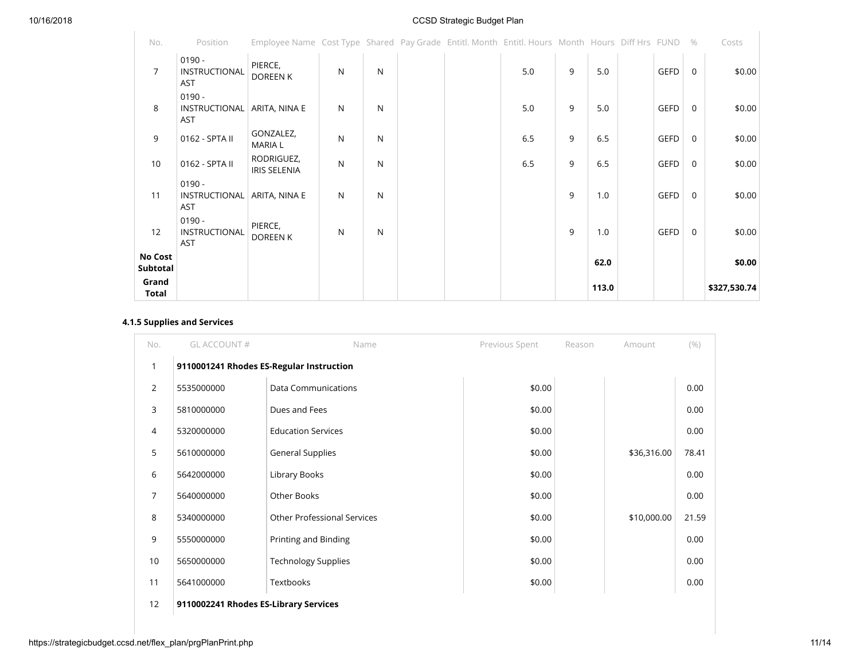| No.                        | Position                                | Employee Name Cost Type Shared Pay Grade Entitl. Month Entitl. Hours Month Hours Diff Hrs FUND |   |   |  |     |   |       |             | $\%$        | Costs        |
|----------------------------|-----------------------------------------|------------------------------------------------------------------------------------------------|---|---|--|-----|---|-------|-------------|-------------|--------------|
| $\overline{7}$             | $0190 -$<br>INSTRUCTIONAL<br><b>AST</b> | PIERCE,<br><b>DOREEN K</b>                                                                     | N | N |  | 5.0 | 9 | 5.0   | <b>GEFD</b> | $\Omega$    | \$0.00       |
| 8                          | $0190 -$<br>INSTRUCTIONAL<br><b>AST</b> | ARITA, NINA E                                                                                  | N | N |  | 5.0 | 9 | 5.0   | GEFD        | $\mathbf 0$ | \$0.00       |
| 9                          | 0162 - SPTA II                          | GONZALEZ,<br><b>MARIA L</b>                                                                    | N | N |  | 6.5 | 9 | 6.5   | <b>GEFD</b> | 0           | \$0.00       |
| 10                         | 0162 - SPTA II                          | RODRIGUEZ,<br><b>IRIS SELENIA</b>                                                              | N | N |  | 6.5 | 9 | 6.5   | GEFD        | $\mathbf 0$ | \$0.00       |
| 11                         | $0190 -$<br>INSTRUCTIONAL<br>AST        | ARITA, NINA E                                                                                  | N | N |  |     | 9 | 1.0   | <b>GEFD</b> | $\mathbf 0$ | \$0.00       |
| 12                         | $0190 -$<br>INSTRUCTIONAL<br><b>AST</b> | PIERCE,<br>DOREEN K                                                                            | N | N |  |     | 9 | 1.0   | <b>GEFD</b> | $\mathbf 0$ | \$0.00       |
| <b>No Cost</b><br>Subtotal |                                         |                                                                                                |   |   |  |     |   | 62.0  |             |             | \$0.00       |
| Grand<br>Total             |                                         |                                                                                                |   |   |  |     |   | 113.0 |             |             | \$327,530.74 |

## **4.1.5 Supplies and Services**

| No.            | GL ACCOUNT#                              | Name                               | Previous Spent | Reason | Amount      | (9/0) |
|----------------|------------------------------------------|------------------------------------|----------------|--------|-------------|-------|
| 1              | 9110001241 Rhodes ES-Regular Instruction |                                    |                |        |             |       |
| $\overline{2}$ | 5535000000                               | <b>Data Communications</b>         | \$0.00         |        |             | 0.00  |
| 3              | 5810000000                               | Dues and Fees                      | \$0.00         |        |             | 0.00  |
| 4              | 5320000000                               | <b>Education Services</b>          | \$0.00         |        |             | 0.00  |
| 5              | 5610000000                               | General Supplies                   | \$0.00         |        | \$36,316.00 | 78.41 |
| 6              | 5642000000                               | Library Books                      | \$0.00         |        |             | 0.00  |
| $\overline{7}$ | 5640000000                               | Other Books                        | \$0.00         |        |             | 0.00  |
| 8              | 5340000000                               | <b>Other Professional Services</b> | \$0.00         |        | \$10,000.00 | 21.59 |
| 9              | 5550000000                               | Printing and Binding               | \$0.00         |        |             | 0.00  |
| 10             | 5650000000                               | <b>Technology Supplies</b>         | \$0.00         |        |             | 0.00  |
| 11             | 5641000000                               | Textbooks                          | \$0.00         |        |             | 0.00  |
| 12             | 9110002241 Rhodes ES-Library Services    |                                    |                |        |             |       |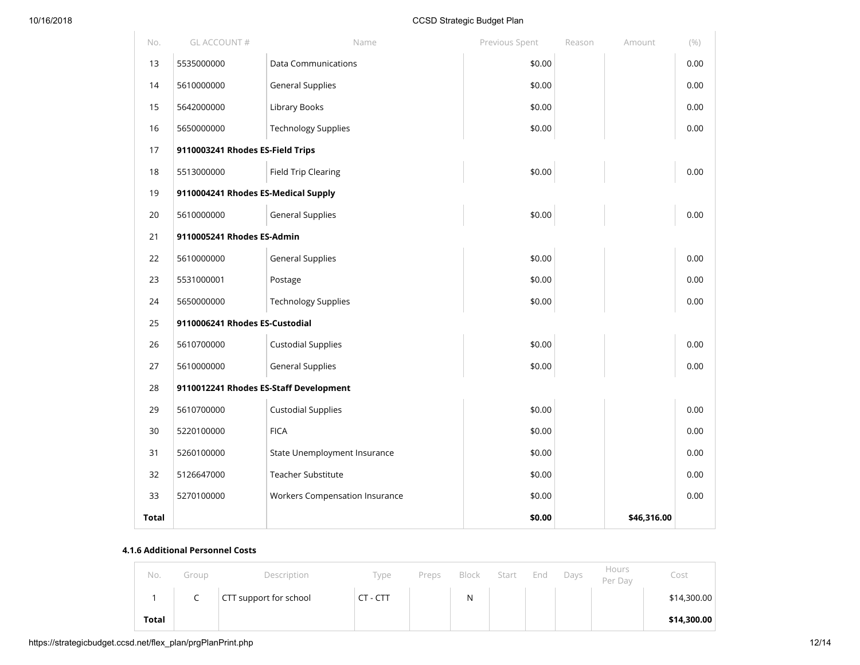| No.   | GL ACCOUNT #                           | Name                                  | Previous Spent | Reason | Amount      | (9/0) |
|-------|----------------------------------------|---------------------------------------|----------------|--------|-------------|-------|
| 13    | 5535000000                             | <b>Data Communications</b>            | \$0.00         |        |             | 0.00  |
| 14    | 5610000000                             | <b>General Supplies</b>               | \$0.00         |        |             | 0.00  |
| 15    | 5642000000                             | Library Books                         | \$0.00         |        |             | 0.00  |
| 16    | 5650000000                             | <b>Technology Supplies</b>            | \$0.00         |        |             | 0.00  |
| 17    | 9110003241 Rhodes ES-Field Trips       |                                       |                |        |             |       |
| 18    | 5513000000                             | <b>Field Trip Clearing</b>            | \$0.00         |        |             | 0.00  |
| 19    | 9110004241 Rhodes ES-Medical Supply    |                                       |                |        |             |       |
| 20    | 5610000000                             | <b>General Supplies</b>               | \$0.00         |        |             | 0.00  |
| 21    | 9110005241 Rhodes ES-Admin             |                                       |                |        |             |       |
| 22    | 5610000000                             | <b>General Supplies</b>               | \$0.00         |        |             | 0.00  |
| 23    | 5531000001                             | Postage                               | \$0.00         |        |             | 0.00  |
| 24    | 5650000000                             | <b>Technology Supplies</b>            | \$0.00         |        |             | 0.00  |
| 25    | 9110006241 Rhodes ES-Custodial         |                                       |                |        |             |       |
| 26    | 5610700000                             | <b>Custodial Supplies</b>             | \$0.00         |        |             | 0.00  |
| 27    | 5610000000                             | <b>General Supplies</b>               | \$0.00         |        |             | 0.00  |
| 28    | 9110012241 Rhodes ES-Staff Development |                                       |                |        |             |       |
| 29    | 5610700000                             | <b>Custodial Supplies</b>             | \$0.00         |        |             | 0.00  |
| 30    | 5220100000                             | <b>FICA</b>                           | \$0.00         |        |             | 0.00  |
| 31    | 5260100000                             | State Unemployment Insurance          | \$0.00         |        |             | 0.00  |
| 32    | 5126647000                             | Teacher Substitute                    | \$0.00         |        |             | 0.00  |
| 33    | 5270100000                             | <b>Workers Compensation Insurance</b> | \$0.00         |        |             | 0.00  |
| Total |                                        |                                       | \$0.00         |        | \$46,316.00 |       |

#### **4.1.6 Additional Personnel Costs**

| No.          | Group | Description            | Type     | Preps | Block | Start | End | Days | Hours<br>Per Day | Cost        |
|--------------|-------|------------------------|----------|-------|-------|-------|-----|------|------------------|-------------|
|              | ∼     | CTT support for school | CT - CTT |       | N     |       |     |      |                  | \$14,300.00 |
| <b>Total</b> |       |                        |          |       |       |       |     |      |                  | \$14,300.00 |

https://strategicbudget.ccsd.net/flex\_plan/prgPlanPrint.php 12/14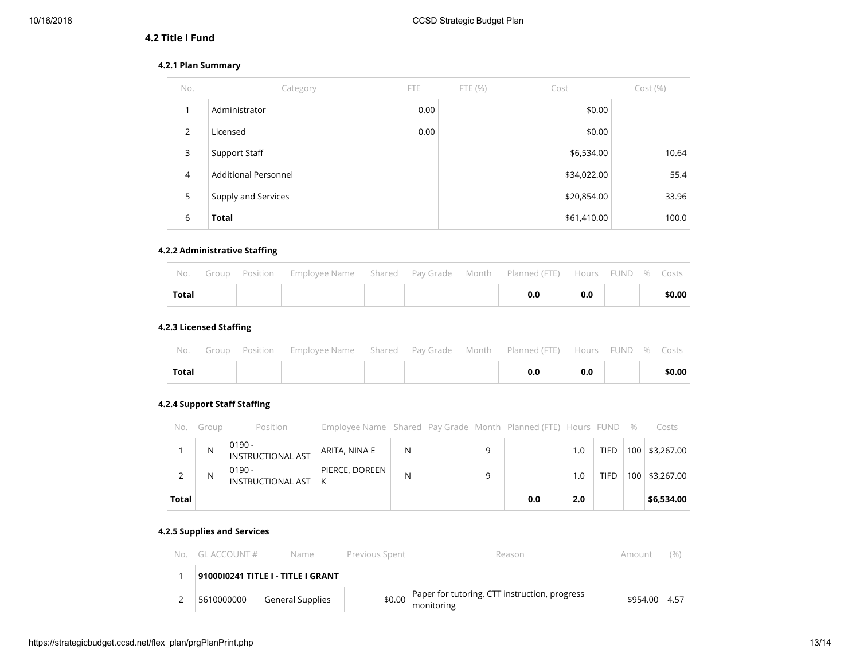## **4.2 Title I Fund**

#### **4.2.1 Plan Summary**

| No.            | Category                    | FTE  | FTE(%) | Cost        | Cost(%) |
|----------------|-----------------------------|------|--------|-------------|---------|
| 1              | Administrator               | 0.00 |        | \$0.00      |         |
| 2              | Licensed                    | 0.00 |        | \$0.00      |         |
| 3              | Support Staff               |      |        | \$6,534.00  | 10.64   |
| $\overline{4}$ | <b>Additional Personnel</b> |      |        | \$34,022.00 | 55.4    |
| 5              | Supply and Services         |      |        | \$20,854.00 | 33.96   |
| 6              | <b>Total</b>                |      |        | \$61,410.00 | 100.0   |

#### **4.2.2 Administrative Staffing**

|              |  | No. Group Position Employee Name Shared Pay-Grade Month Planned (FTE) Hours FUND % Costs |  |     |                              |  |        |
|--------------|--|------------------------------------------------------------------------------------------|--|-----|------------------------------|--|--------|
| <b>Total</b> |  |                                                                                          |  | 0.0 | $\overline{\phantom{0}}$ 0.0 |  | \$0.00 |

## **4.2.3 Licensed Staffing**

|              |  | No. Group Position Employee Name Shared Pay Grade Month Planned (FTE) Hours FUND % Costs |  |           |  |        |
|--------------|--|------------------------------------------------------------------------------------------|--|-----------|--|--------|
| <b>Total</b> |  |                                                                                          |  | $0.0$ 0.0 |  | \$0.00 |

## **4.2.4 Support Staff Staffing**

| No.   | Group | Position                             | Employee Name Shared Pay Grade Month Planned (FTE) Hours FUND % |   |   |     |     |             |                  | Costs          |
|-------|-------|--------------------------------------|-----------------------------------------------------------------|---|---|-----|-----|-------------|------------------|----------------|
|       | N     | $0190 -$<br><b>INSTRUCTIONAL AST</b> | ARITA, NINA E                                                   | N | 9 |     | 1.0 | <b>TIFD</b> |                  | 100 \$3,267.00 |
|       | N     | $0190 -$<br><b>INSTRUCTIONAL AST</b> | PIERCE, DOREEN<br>К                                             | N | 9 |     | 1.0 | TIFD        | 100 <sub>1</sub> | \$3,267.00     |
| Total |       |                                      |                                                                 |   |   | 0.0 | 2.0 |             |                  | \$6,534.00     |

## **4.2.5 Supplies and Services**

| Nο | $GI$ account # | Name                               | Previous Spent | Reason                                                      | Amount   | (%)  |  |
|----|----------------|------------------------------------|----------------|-------------------------------------------------------------|----------|------|--|
|    |                | 9100010241 TITLE I - TITLE I GRANT |                |                                                             |          |      |  |
|    | 5610000000     | <b>General Supplies</b>            | \$0.00         | Paper for tutoring, CTT instruction, progress<br>monitoring | \$954.00 | 4.57 |  |